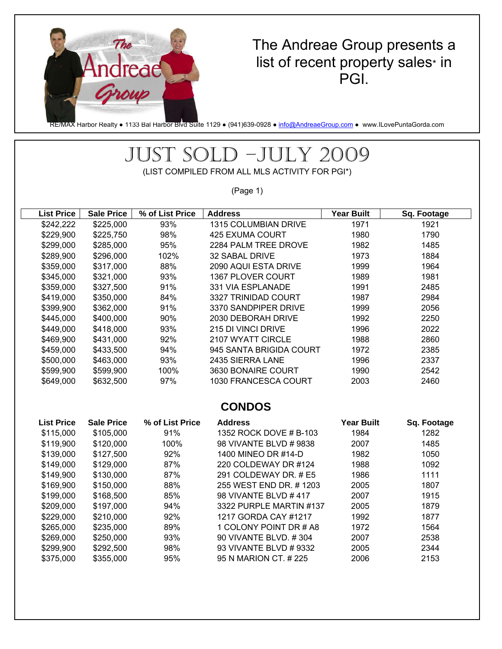

### The Andreae Group presents a list of recent property sales\* in PGI.

RE/MAX Harbor Realty • 1133 Bal Harbor Blvd Suite 1129 • (941)639-0928 • info@AndreaeGroup.com • www.ILovePuntaGorda.com

# JUST SOLD –JULY 2009

(LIST COMPILED FROM ALL MLS ACTIVITY FOR PGI\*)

(Page 1)

| <b>List Price</b> | <b>Sale Price</b> | % of List Price | <b>Address</b>          | <b>Year Built</b> | Sq. Footage |  |  |  |
|-------------------|-------------------|-----------------|-------------------------|-------------------|-------------|--|--|--|
| \$242,222         | \$225,000         | 93%             | 1315 COLUMBIAN DRIVE    | 1971              | 1921        |  |  |  |
| \$229,900         | \$225,750         | 98%             | <b>425 EXUMA COURT</b>  | 1980              | 1790        |  |  |  |
| \$299,000         | \$285,000         | 95%             | 2284 PALM TREE DROVE    | 1982              | 1485        |  |  |  |
| \$289,900         | \$296,000         | 102%            | 32 SABAL DRIVE          | 1973              | 1884        |  |  |  |
| \$359,000         | \$317,000         | 88%             | 2090 AQUI ESTA DRIVE    | 1999              | 1964        |  |  |  |
| \$345,000         | \$321,000         | 93%             | 1367 PLOVER COURT       | 1989              | 1981        |  |  |  |
| \$359,000         | \$327,500         | 91%             | 331 VIA ESPLANADE       | 1991              | 2485        |  |  |  |
| \$419,000         | \$350,000         | 84%             | 3327 TRINIDAD COURT     | 1987              | 2984        |  |  |  |
| \$399,900         | \$362,000         | 91%             | 3370 SANDPIPER DRIVE    | 1999              | 2056        |  |  |  |
| \$445,000         | \$400,000         | 90%             | 2030 DEBORAH DRIVE      | 1992              | 2250        |  |  |  |
| \$449,000         | \$418,000         | 93%             | 215 DI VINCI DRIVE      | 1996              | 2022        |  |  |  |
| \$469,900         | \$431,000         | 92%             | 2107 WYATT CIRCLE       | 1988              | 2860        |  |  |  |
| \$459,000         | \$433,500         | 94%             | 945 SANTA BRIGIDA COURT | 1972              | 2385        |  |  |  |
| \$500,000         | \$463,000         | 93%             | 2435 SIERRA LANE        | 1996              | 2337        |  |  |  |
| \$599,900         | \$599,900         | 100%            | 3630 BONAIRE COURT      | 1990              | 2542        |  |  |  |
| \$649,000         | \$632,500         | 97%             | 1030 FRANCESCA COURT    | 2003              | 2460        |  |  |  |
|                   |                   |                 |                         |                   |             |  |  |  |
| <b>CONDOS</b>     |                   |                 |                         |                   |             |  |  |  |
| <b>List Price</b> | <b>Sale Price</b> | % of List Price | <b>Address</b>          | <b>Year Built</b> | Sq. Footage |  |  |  |
| \$115,000         | \$105,000         | 91%             | 1352 ROCK DOVE # B-103  | 1984              | 1282        |  |  |  |
| \$119,900         | \$120,000         | 100%            | 98 VIVANTE BLVD # 9838  | 2007              | 1485        |  |  |  |
| \$139,000         | \$127,500         | 92%             | 1400 MINEO DR #14-D     | 1982              | 1050        |  |  |  |
| \$149,000         | \$129,000         | 87%             | 220 COLDEWAY DR #124    | 1988              | 1092        |  |  |  |
| \$149,900         | \$130,000         | 87%             | 291 COLDEWAY DR. # E5   | 1986              | 1111        |  |  |  |
| \$169,900         | \$150,000         | 88%             | 255 WEST END DR. #1203  | 2005              | 1807        |  |  |  |
| \$199,000         | \$168,500         | 85%             | 98 VIVANTE BLVD #417    | 2007              | 1915        |  |  |  |
| \$209,000         | \$197,000         | 94%             | 3322 PURPLE MARTIN #137 | 2005              | 1879        |  |  |  |
| \$229,000         | \$210,000         | 92%             | 1217 GORDA CAY #1217    | 1992              | 1877        |  |  |  |
| \$265,000         | \$235,000         | 89%             | 1 COLONY POINT DR # A8  | 1972              | 1564        |  |  |  |
| \$269,000         | \$250,000         | 93%             | 90 VIVANTE BLVD. #304   | 2007              | 2538        |  |  |  |
| \$299,900         | \$292,500         | 98%             | 93 VIVANTE BLVD # 9332  | 2005              | 2344        |  |  |  |
| \$375,000         | \$355,000         | 95%             | 95 N MARION CT. # 225   | 2006              | 2153        |  |  |  |